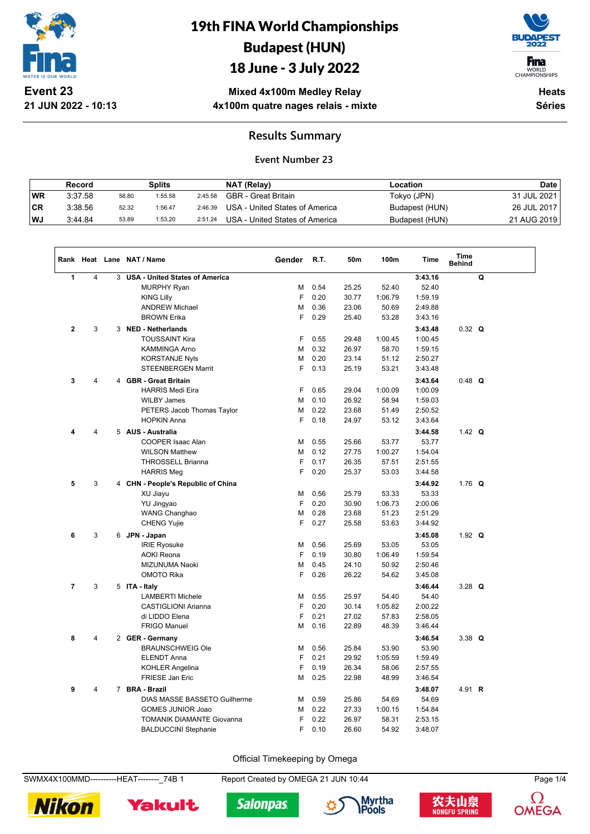

**21 JUN 2022 - 10:13**

# 19th FINA World Championships Budapest (HUN)

### 18 June - 3 July 2022



WORLD<br>CHAMPIONSHIPS

**Mixed 4x100m Medley Relay 4x100m quatre nages relais - mixte**

**Heats Séries**

#### **Results Summary**

#### **Event Number 23**

|           | Record  |       | Splits  |         | NAT (Relay)                    | Location       | Date        |
|-----------|---------|-------|---------|---------|--------------------------------|----------------|-------------|
| <b>WR</b> | 3:37.58 | 58.80 | 1:55.58 | 2:45.58 | GBR - Great Britain            | Tokyo (JPN)    | 31 JUL 2021 |
| ∣CR       | 3:38.56 | 52.32 | 1:56.47 | 2:46.39 | USA - United States of America | Budapest (HUN) | 26 JUL 2017 |
| <b>WJ</b> | 3.44.84 | 53.89 | 1:53.20 | 2:51.24 | USA - United States of America | Budapest (HUN) | 21 AUG 2019 |

|                |                |   | Rank Heat Lane NAT / Name             | Gender | R.T. | 50m   | 100m    | Time    | Time<br><b>Behind</b> |   |  |
|----------------|----------------|---|---------------------------------------|--------|------|-------|---------|---------|-----------------------|---|--|
| 1              | $\overline{4}$ | 3 | <b>USA - United States of America</b> |        |      |       |         | 3:43.16 |                       | Q |  |
|                |                |   | <b>MURPHY Ryan</b>                    | М      | 0.54 | 25.25 | 52.40   | 52.40   |                       |   |  |
|                |                |   | <b>KING Lilly</b>                     | F      | 0.20 | 30.77 | 1:06.79 | 1:59.19 |                       |   |  |
|                |                |   | <b>ANDREW Michael</b>                 | M      | 0.36 | 23.06 | 50.69   | 2:49.88 |                       |   |  |
|                |                |   | <b>BROWN Erika</b>                    | F      | 0.29 | 25.40 | 53.28   | 3:43.16 |                       |   |  |
| $\mathbf{2}$   | 3              | 3 | <b>NED - Netherlands</b>              |        |      |       |         | 3:43.48 | $0.32$ Q              |   |  |
|                |                |   | <b>TOUSSAINT Kira</b>                 | F      | 0.55 | 29.48 | 1:00.45 | 1:00.45 |                       |   |  |
|                |                |   | KAMMINGA Arno                         | M      | 0.32 | 26.97 | 58.70   | 1:59.15 |                       |   |  |
|                |                |   | <b>KORSTANJE Nyls</b>                 | M      | 0.20 | 23.14 | 51.12   | 2:50.27 |                       |   |  |
|                |                |   | <b>STEENBERGEN Marrit</b>             | F      | 0.13 | 25.19 | 53.21   | 3:43.48 |                       |   |  |
| 3              | $\overline{4}$ |   | 4 GBR - Great Britain                 |        |      |       |         | 3:43.64 | $0.48$ Q              |   |  |
|                |                |   | <b>HARRIS Medi Eira</b>               | F      | 0.65 | 29.04 | 1:00.09 | 1:00.09 |                       |   |  |
|                |                |   | <b>WILBY James</b>                    | M      | 0.10 | 26.92 | 58.94   | 1:59.03 |                       |   |  |
|                |                |   | PETERS Jacob Thomas Taylor            | M      | 0.22 | 23.68 | 51.49   | 2:50.52 |                       |   |  |
|                |                |   | <b>HOPKIN Anna</b>                    | F      | 0.18 | 24.97 | 53.12   | 3:43.64 |                       |   |  |
| 4              | 4              |   | 5 AUS - Australia                     |        |      |       |         | 3:44.58 | 1.42 $Q$              |   |  |
|                |                |   | COOPER Isaac Alan                     | M      | 0.55 | 25.66 | 53.77   | 53.77   |                       |   |  |
|                |                |   | <b>WILSON Matthew</b>                 | M      | 0.12 | 27.75 | 1:00.27 | 1:54.04 |                       |   |  |
|                |                |   | <b>THROSSELL Brianna</b>              | F      | 0.17 | 26.35 | 57.51   | 2:51.55 |                       |   |  |
|                |                |   | <b>HARRIS Meg</b>                     | F      | 0.20 | 25.37 | 53.03   | 3:44.58 |                       |   |  |
| 5              | 3              |   | 4 CHN - People's Republic of China    |        |      |       |         | 3:44.92 | 1.76 $Q$              |   |  |
|                |                |   | XU Jiayu                              | M      | 0.56 | 25.79 | 53.33   | 53.33   |                       |   |  |
|                |                |   | YU Jingyao                            | F      | 0.20 | 30.90 | 1:06.73 | 2:00.06 |                       |   |  |
|                |                |   | <b>WANG Changhao</b>                  | M      | 0.28 | 23.68 | 51.23   | 2:51.29 |                       |   |  |
|                |                |   | <b>CHENG Yujie</b>                    | F      | 0.27 | 25.58 | 53.63   | 3:44.92 |                       |   |  |
| 6              | 3              |   | 6 JPN - Japan                         |        |      |       |         | 3:45.08 | 1.92 $Q$              |   |  |
|                |                |   | <b>IRIE Ryosuke</b>                   | M      | 0.56 | 25.69 | 53.05   | 53.05   |                       |   |  |
|                |                |   | <b>AOKI Reona</b>                     | F      | 0.19 | 30.80 | 1:06.49 | 1:59.54 |                       |   |  |
|                |                |   | MIZUNUMA Naoki                        | M      | 0.45 | 24.10 | 50.92   | 2:50.46 |                       |   |  |
|                |                |   | <b>OMOTO Rika</b>                     | F      | 0.26 | 26.22 | 54.62   | 3:45.08 |                       |   |  |
| $\overline{7}$ | 3              |   | 5 ITA - Italy                         |        |      |       |         | 3:46.44 | 3.28 $Q$              |   |  |
|                |                |   | <b>LAMBERTI Michele</b>               | M      | 0.55 | 25.97 | 54.40   | 54.40   |                       |   |  |
|                |                |   | <b>CASTIGLIONI Arianna</b>            | F      | 0.20 | 30.14 | 1:05.82 | 2:00.22 |                       |   |  |
|                |                |   | di LIDDO Elena                        | F      | 0.21 | 27.02 | 57.83   | 2:58.05 |                       |   |  |
|                |                |   | <b>FRIGO Manuel</b>                   | M      | 0.16 | 22.89 | 48.39   | 3:46.44 |                       |   |  |
| 8              | 4              |   | 2 GER - Germany                       |        |      |       |         | 3:46.54 | $3.38$ Q              |   |  |
|                |                |   | <b>BRAUNSCHWEIG Ole</b>               | M      | 0.56 | 25.84 | 53.90   | 53.90   |                       |   |  |
|                |                |   | <b>ELENDT Anna</b>                    | F      | 0.21 | 29.92 | 1:05.59 | 1:59.49 |                       |   |  |
|                |                |   | <b>KOHLER Angelina</b>                | F      | 0.19 | 26.34 | 58.06   | 2:57.55 |                       |   |  |
|                |                |   | FRIESE Jan Eric                       | M      | 0.25 | 22.98 | 48.99   | 3:46.54 |                       |   |  |
| 9              | 4              |   | 7 BRA - Brazil                        |        |      |       |         | 3:48.07 | 4.91 R                |   |  |
|                |                |   | DIAS MASSE BASSETO Guilherme          | M      | 0.59 | 25.86 | 54.69   | 54.69   |                       |   |  |
|                |                |   | <b>GOMES JUNIOR Joao</b>              | M      | 0.22 | 27.33 | 1:00.15 | 1:54.84 |                       |   |  |
|                |                |   | <b>TOMANIK DIAMANTE Giovanna</b>      | F      | 0.22 | 26.97 | 58.31   | 2:53.15 |                       |   |  |
|                |                |   | <b>BALDUCCINI Stephanie</b>           | F      | 0.10 | 26.60 | 54.92   | 3:48.07 |                       |   |  |

Official Timekeeping by Omega

SWMX4X100MMD----------HEAT--------\_74B 1 Report Created by OMEGA 21 JUN 10:44 Page 1/4











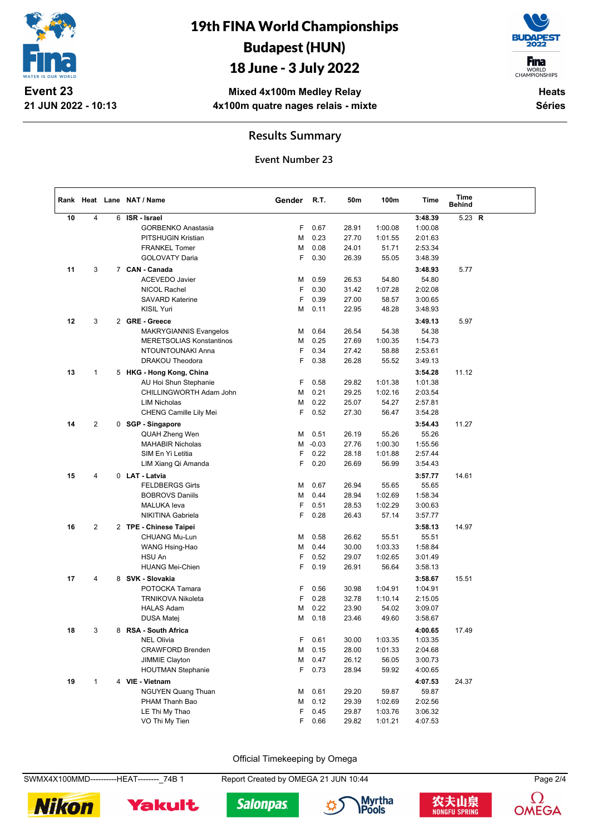

## 19th FINA World Championships Budapest (HUN)

### 18 June - 3 July 2022



**Heats Séries**

**Mixed 4x100m Medley Relay 4x100m quatre nages relais - mixte**

#### **Results Summary**

**Event Number 23**

|    |                |   | Rank Heat Lane NAT / Name       | Gender | R.T.    | 50m   | 100m    | Time    | Time<br><b>Behind</b> |  |
|----|----------------|---|---------------------------------|--------|---------|-------|---------|---------|-----------------------|--|
| 10 | $\overline{4}$ | 6 | ISR - Israel                    |        |         |       |         | 3:48.39 | 5.23 $R$              |  |
|    |                |   | <b>GORBENKO Anastasia</b>       | F      | 0.67    | 28.91 | 1:00.08 | 1:00.08 |                       |  |
|    |                |   | PITSHUGIN Kristian              | M      | 0.23    | 27.70 | 1:01.55 | 2:01.63 |                       |  |
|    |                |   | <b>FRANKEL Tomer</b>            | М      | 0.08    | 24.01 | 51.71   | 2:53.34 |                       |  |
|    |                |   | <b>GOLOVATY Daria</b>           | F      | 0.30    | 26.39 | 55.05   | 3:48.39 |                       |  |
| 11 | 3              |   | 7 CAN - Canada                  |        |         |       |         | 3:48.93 | 5.77                  |  |
|    |                |   | <b>ACEVEDO Javier</b>           | M      | 0.59    | 26.53 | 54.80   | 54.80   |                       |  |
|    |                |   | NICOL Rachel                    | F      | 0.30    | 31.42 | 1:07.28 | 2:02.08 |                       |  |
|    |                |   | <b>SAVARD Katerine</b>          | F      | 0.39    | 27.00 | 58.57   | 3:00.65 |                       |  |
|    |                |   | <b>KISIL Yuri</b>               | M      | 0.11    | 22.95 | 48.28   | 3:48.93 |                       |  |
| 12 | 3              |   | 2 GRE - Greece                  |        |         |       |         | 3:49.13 | 5.97                  |  |
|    |                |   | MAKRYGIANNIS Evangelos          | M      | 0.64    | 26.54 | 54.38   | 54.38   |                       |  |
|    |                |   | <b>MERETSOLIAS Konstantinos</b> | M      | 0.25    | 27.69 | 1:00.35 | 1:54.73 |                       |  |
|    |                |   | NTOUNTOUNAKI Anna               | F      | 0.34    | 27.42 | 58.88   | 2:53.61 |                       |  |
|    |                |   | DRAKOU Theodora                 | F      | 0.38    | 26.28 | 55.52   | 3:49.13 |                       |  |
|    |                |   |                                 |        |         |       |         |         |                       |  |
| 13 | $\mathbf{1}$   |   | 5 HKG - Hong Kong, China        |        |         |       |         | 3:54.28 | 11.12                 |  |
|    |                |   | AU Hoi Shun Stephanie           | F      | 0.58    | 29.82 | 1:01.38 | 1:01.38 |                       |  |
|    |                |   | CHILLINGWORTH Adam John         | M      | 0.21    | 29.25 | 1:02.16 | 2:03.54 |                       |  |
|    |                |   | <b>LIM Nicholas</b>             | М      | 0.22    | 25.07 | 54.27   | 2:57.81 |                       |  |
|    |                |   | CHENG Camille Lily Mei          | F      | 0.52    | 27.30 | 56.47   | 3:54.28 |                       |  |
| 14 | $\overline{2}$ |   | 0 SGP - Singapore               |        |         |       |         | 3:54.43 | 11.27                 |  |
|    |                |   | <b>QUAH Zheng Wen</b>           | M      | 0.51    | 26.19 | 55.26   | 55.26   |                       |  |
|    |                |   | <b>MAHABIR Nicholas</b>         | M      | $-0.03$ | 27.76 | 1:00.30 | 1:55.56 |                       |  |
|    |                |   | SIM En Yi Letitia               | F      | 0.22    | 28.18 | 1:01.88 | 2:57.44 |                       |  |
|    |                |   | LIM Xiang Qi Amanda             | F      | 0.20    | 26.69 | 56.99   | 3:54.43 |                       |  |
| 15 | 4              |   | 0 LAT - Latvia                  |        |         |       |         | 3:57.77 | 14.61                 |  |
|    |                |   | <b>FELDBERGS Girts</b>          | M      | 0.67    | 26.94 | 55.65   | 55.65   |                       |  |
|    |                |   | <b>BOBROVS Daniils</b>          | M      | 0.44    | 28.94 | 1:02.69 | 1:58.34 |                       |  |
|    |                |   | <b>MALUKA</b> leva              | F      | 0.51    | 28.53 | 1:02.29 | 3:00.63 |                       |  |
|    |                |   | NIKITINA Gabriela               | F      | 0.28    | 26.43 | 57.14   | 3:57.77 |                       |  |
| 16 | $\mathbf{2}$   |   | 2 TPE - Chinese Taipei          |        |         |       |         | 3:58.13 | 14.97                 |  |
|    |                |   | CHUANG Mu-Lun                   | M      | 0.58    | 26.62 | 55.51   | 55.51   |                       |  |
|    |                |   |                                 | M      | 0.44    | 30.00 | 1:03.33 | 1:58.84 |                       |  |
|    |                |   | WANG Hsing-Hao<br>HSU An        | F      | 0.52    | 29.07 | 1:02.65 | 3:01.49 |                       |  |
|    |                |   | <b>HUANG Mei-Chien</b>          | F      | 0.19    | 26.91 | 56.64   | 3:58.13 |                       |  |
|    |                |   |                                 |        |         |       |         |         |                       |  |
| 17 | $\overline{4}$ |   | 8 SVK - Slovakia                |        |         |       |         | 3:58.67 | 15.51                 |  |
|    |                |   | POTOCKA Tamara                  | F      | 0.56    | 30.98 | 1:04.91 | 1:04.91 |                       |  |
|    |                |   | <b>TRNIKOVA Nikoleta</b>        | F      | 0.28    | 32.78 | 1:10.14 | 2:15.05 |                       |  |
|    |                |   | <b>HALAS Adam</b>               | M      | 0.22    | 23.90 | 54.02   | 3:09.07 |                       |  |
|    |                |   | DUSA Matej                      | M      | 0.18    | 23.46 | 49.60   | 3:58.67 |                       |  |
| 18 | 3              | 8 | RSA - South Africa              |        |         |       |         | 4:00.65 | 17.49                 |  |
|    |                |   | <b>NEL Olivia</b>               | F      | 0.61    | 30.00 | 1:03.35 | 1:03.35 |                       |  |
|    |                |   | <b>CRAWFORD Brenden</b>         | M      | 0.15    | 28.00 | 1:01.33 | 2:04.68 |                       |  |
|    |                |   | JIMMIE Clayton                  | М      | 0.47    | 26.12 | 56.05   | 3:00.73 |                       |  |
|    |                |   | <b>HOUTMAN Stephanie</b>        | F      | 0.73    | 28.94 | 59.92   | 4:00.65 |                       |  |
| 19 | $\mathbf{1}$   |   | 4 VIE - Vietnam                 |        |         |       |         | 4:07.53 | 24.37                 |  |
|    |                |   | <b>NGUYEN Quang Thuan</b>       | M      | 0.61    | 29.20 | 59.87   | 59.87   |                       |  |
|    |                |   | PHAM Thanh Bao                  | M      | 0.12    | 29.39 | 1:02.69 | 2:02.56 |                       |  |
|    |                |   | LE Thi My Thao                  | F      | 0.45    | 29.87 | 1:03.76 | 3:06.32 |                       |  |
|    |                |   | VO Thi My Tien                  | F      | 0.66    | 29.82 | 1:01.21 | 4:07.53 |                       |  |
|    |                |   |                                 |        |         |       |         |         |                       |  |

Official Timekeeping by Omega

SWMX4X100MMD----------HEAT--------\_74B 1 Report Created by OMEGA 21 JUN 10:44 Page 2/4









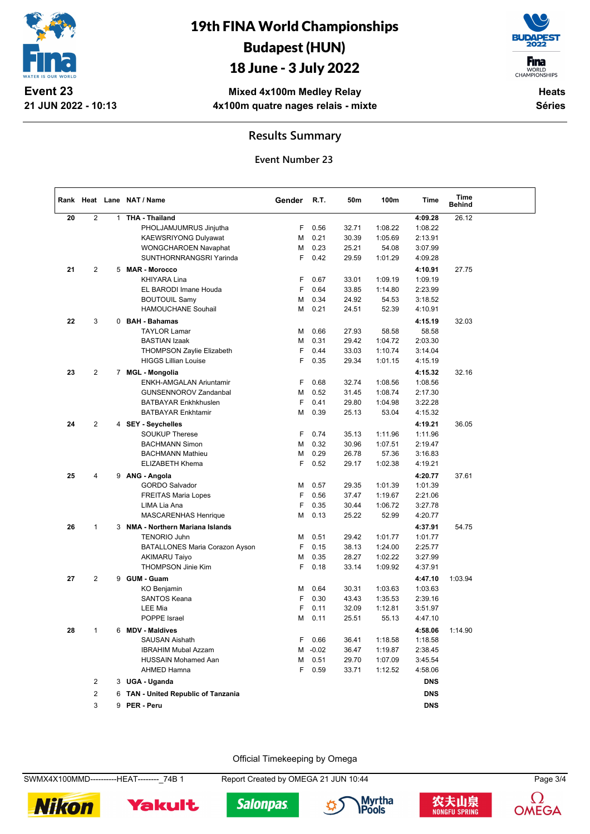

## 19th FINA World Championships Budapest (HUN)

### 18 June - 3 July 2022

**F**ina

WORLD<br>CHAMPIONSHIPS

**Mixed 4x100m Medley Relay 4x100m quatre nages relais - mixte**

**Heats Séries**

#### **Results Summary**

**Event Number 23**

|    |                |   | Rank Heat Lane NAT / Name                | Gender | R.T.    | 50m   | 100m    | Time       | Time<br><b>Behind</b> |  |
|----|----------------|---|------------------------------------------|--------|---------|-------|---------|------------|-----------------------|--|
| 20 | 2              |   | 1 THA - Thailand                         |        |         |       |         | 4:09.28    | 26.12                 |  |
|    |                |   | PHOLJAMJUMRUS Jinjutha                   | F      | 0.56    | 32.71 | 1:08.22 | 1:08.22    |                       |  |
|    |                |   | <b>KAEWSRIYONG Dulyawat</b>              | М      | 0.21    | 30.39 | 1:05.69 | 2:13.91    |                       |  |
|    |                |   | WONGCHAROEN Navaphat                     | М      | 0.23    | 25.21 | 54.08   | 3:07.99    |                       |  |
|    |                |   | SUNTHORNRANGSRI Yarinda                  | F      | 0.42    | 29.59 | 1:01.29 | 4:09.28    |                       |  |
| 21 | 2              |   | 5 MAR - Morocco                          |        |         |       |         | 4:10.91    | 27.75                 |  |
|    |                |   | KHIYARA Lina                             | F      | 0.67    | 33.01 | 1:09.19 | 1:09.19    |                       |  |
|    |                |   | EL BARODI Imane Houda                    | F      | 0.64    | 33.85 | 1:14.80 | 2:23.99    |                       |  |
|    |                |   | <b>BOUTOUIL Samy</b>                     | M      | 0.34    | 24.92 | 54.53   | 3:18.52    |                       |  |
|    |                |   | <b>HAMOUCHANE Souhail</b>                | M      | 0.21    | 24.51 | 52.39   | 4:10.91    |                       |  |
| 22 | 3              |   | 0 BAH - Bahamas                          |        |         |       |         | 4:15.19    | 32.03                 |  |
|    |                |   | <b>TAYLOR Lamar</b>                      | М      | 0.66    | 27.93 | 58.58   | 58.58      |                       |  |
|    |                |   | <b>BASTIAN Izaak</b>                     | M      | 0.31    | 29.42 | 1:04.72 | 2:03.30    |                       |  |
|    |                |   | <b>THOMPSON Zaylie Elizabeth</b>         | F      | 0.44    | 33.03 | 1:10.74 | 3:14.04    |                       |  |
|    |                |   | <b>HIGGS Lillian Louise</b>              | F      | 0.35    | 29.34 | 1:01.15 | 4:15.19    |                       |  |
| 23 | 2              |   | 7 MGL - Mongolia                         |        |         |       |         | 4:15.32    | 32.16                 |  |
|    |                |   | ENKH-AMGALAN Ariuntamir                  | F      | 0.68    | 32.74 | 1:08.56 | 1:08.56    |                       |  |
|    |                |   | <b>GUNSENNOROV Zandanbal</b>             | М      | 0.52    | 31.45 | 1:08.74 | 2:17.30    |                       |  |
|    |                |   | <b>BATBAYAR Enkhkhuslen</b>              | F      | 0.41    | 29.80 | 1:04.98 | 3:22.28    |                       |  |
|    |                |   | <b>BATBAYAR Enkhtamir</b>                | M      | 0.39    | 25.13 | 53.04   | 4:15.32    |                       |  |
| 24 | $\mathbf{2}$   |   | 4 SEY - Seychelles                       |        |         |       |         | 4:19.21    | 36.05                 |  |
|    |                |   | <b>SOUKUP Therese</b>                    | F      | 0.74    | 35.13 | 1:11.96 | 1:11.96    |                       |  |
|    |                |   | <b>BACHMANN Simon</b>                    | M      | 0.32    | 30.96 | 1:07.51 | 2:19.47    |                       |  |
|    |                |   | <b>BACHMANN Mathieu</b>                  | M      | 0.29    | 26.78 | 57.36   | 3:16.83    |                       |  |
|    |                |   | <b>ELIZABETH Khema</b>                   | F      | 0.52    | 29.17 | 1:02.38 | 4:19.21    |                       |  |
| 25 | 4              |   | 9 ANG - Angola                           |        |         |       |         | 4:20.77    | 37.61                 |  |
|    |                |   | <b>GORDO Salvador</b>                    | М      | 0.57    | 29.35 | 1:01.39 | 1:01.39    |                       |  |
|    |                |   | <b>FREITAS Maria Lopes</b>               | F      | 0.56    | 37.47 | 1:19.67 | 2:21.06    |                       |  |
|    |                |   | LIMA Lia Ana                             | F      | 0.35    | 30.44 | 1:06.72 | 3:27.78    |                       |  |
|    |                |   | MASCARENHAS Henrique                     | M      | 0.13    | 25.22 | 52.99   | 4:20.77    |                       |  |
| 26 | $\mathbf{1}$   |   | 3 NMA - Northern Mariana Islands         |        |         |       |         | 4:37.91    | 54.75                 |  |
|    |                |   | <b>TENORIO Juhn</b>                      | M      | 0.51    | 29.42 | 1:01.77 | 1:01.77    |                       |  |
|    |                |   | BATALLONES Maria Corazon Ayson           | F      | 0.15    | 38.13 | 1:24.00 | 2:25.77    |                       |  |
|    |                |   | <b>AKIMARU Taiyo</b>                     | M      | 0.35    | 28.27 | 1:02.22 | 3:27.99    |                       |  |
|    |                |   | THOMPSON Jinie Kim                       | F      | 0.18    | 33.14 | 1:09.92 | 4:37.91    |                       |  |
| 27 | $\mathbf{2}$   |   | 9 GUM - Guam                             |        |         |       |         | 4:47.10    | 1:03.94               |  |
|    |                |   | KO Benjamin                              | М      | 0.64    | 30.31 | 1:03.63 | 1:03.63    |                       |  |
|    |                |   | <b>SANTOS Keana</b>                      | F      | 0.30    | 43.43 | 1:35.53 | 2:39.16    |                       |  |
|    |                |   | <b>LEE Mia</b>                           | F      | 0.11    | 32.09 | 1:12.81 | 3:51.97    |                       |  |
|    |                |   | POPPE Israel                             | M      | 0.11    | 25.51 | 55.13   | 4:47.10    |                       |  |
| 28 | 1              | 6 | <b>MDV - Maldives</b>                    |        |         |       |         | 4:58.06    | 1:14.90               |  |
|    |                |   | <b>SAUSAN Aishath</b>                    | F      | 0.66    | 36.41 | 1:18.58 | 1:18.58    |                       |  |
|    |                |   | <b>IBRAHIM Mubal Azzam</b>               | М      | $-0.02$ | 36.47 | 1:19.87 | 2:38.45    |                       |  |
|    |                |   | <b>HUSSAIN Mohamed Aan</b>               | М      | 0.51    | 29.70 | 1:07.09 | 3:45.54    |                       |  |
|    |                |   | AHMED Hamna                              | F      | 0.59    | 33.71 | 1:12.52 | 4:58.06    |                       |  |
|    | 2              |   | 3 UGA - Uganda                           |        |         |       |         | <b>DNS</b> |                       |  |
|    | $\overline{2}$ | 6 | <b>TAN - United Republic of Tanzania</b> |        |         |       |         | <b>DNS</b> |                       |  |
|    | 3              |   | 9 PER - Peru                             |        |         |       |         | <b>DNS</b> |                       |  |

Official Timekeeping by Omega

SWMX4X100MMD----------HEAT--------\_74B 1 Report Created by OMEGA 21 JUN 10:44 Page 3/4